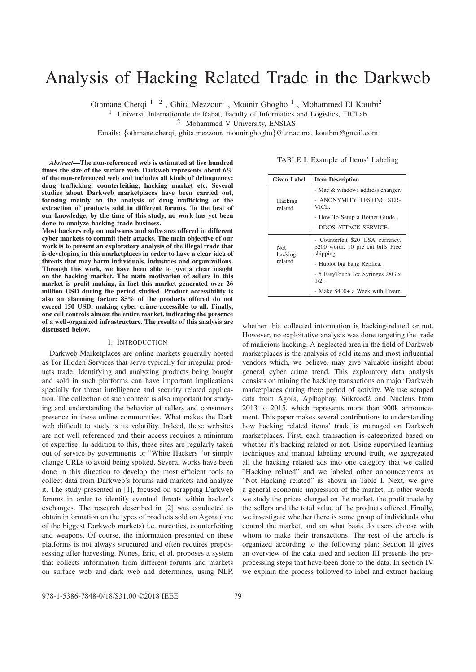# Analysis of Hacking Related Trade in the Darkweb

Othmane Cherqi <sup>1</sup> <sup>2</sup>, Ghita Mezzour<sup>1</sup>, Mounir Ghogho<sup>1</sup>, Mohammed El Koutbi<sup>2</sup>

<sup>1</sup> Universit Internationale de Rabat, Faculty of Informatics and Logistics, TICLab

<sup>2</sup> Mohammed V University, ENSIAS

Emails: {othmane.cherqi, ghita.mezzour, mounir.ghogho}@uir.ac.ma, koutbm@gmail.com

*Abstract*—The non-referenced web is estimated at five hundred times the size of the surface web. Darkweb represents about 6% of the non-referenced web and includes all kinds of delinquency: drug trafficking, counterfeiting, hacking market etc. Several studies about Darkweb marketplaces have been carried out, focusing mainly on the analysis of drug trafficking or the extraction of products sold in different forums. To the best of our knowledge, by the time of this study, no work has yet been done to analyze hacking trade business.

Most hackers rely on malwares and softwares offered in different cyber markets to commit their attacks. The main objective of our work is to present an exploratory analysis of the illegal trade that is developing in this marketplaces in order to have a clear idea of threats that may harm individuals, industries and organizations. Through this work, we have been able to give a clear insight on the hacking market. The main motivation of sellers in this market is profit making, in fact this market generated over 26 million USD during the period studied. Product accessibility is also an alarming factor: 85% of the products offered do not exceed 150 USD, making cyber crime accessible to all. Finally, one cell controls almost the entire market, indicating the presence of a well-organized infrastructure. The results of this analysis are discussed below.

#### I. INTRODUCTION

Darkweb Marketplaces are online markets generally hosted as Tor Hidden Services that serve typically for irregular products trade. Identifying and analyzing products being bought and sold in such platforms can have important implications specially for threat intelligence and security related application. The collection of such content is also important for studying and understanding the behavior of sellers and consumers presence in these online communities. What makes the Dark web difficult to study is its volatility. Indeed, these websites are not well referenced and their access requires a minimum of expertise. In addition to this, these sites are regularly taken out of service by governments or "White Hackers "or simply change URLs to avoid being spotted. Several works have been done in this direction to develop the most efficient tools to collect data from Darkweb's forums and markets and analyze it. The study presented in [1], focused on scrapping Darkweb forums in order to identify eventual threats within hacker's exchanges. The research described in [2] was conducted to obtain information on the types of products sold on Agora (one of the biggest Darkweb markets) i.e. narcotics, counterfeiting and weapons. Of course, the information presented on these platforms is not always structured and often requires prepossessing after harvesting. Nunes, Eric, et al. proposes a system that collects information from different forums and markets on surface web and dark web and determines, using NLP,

TABLE I: Example of Items' Labeling

| <b>Given Label</b>        | <b>Item Description</b>                                                             |
|---------------------------|-------------------------------------------------------------------------------------|
|                           | - Mac & windows address changer.                                                    |
| Hacking<br>related        | - ANONYMITY TESTING SER-<br>VICE.                                                   |
|                           | - How To Setup a Botnet Guide.                                                      |
|                           | - DDOS ATTACK SERVICE.                                                              |
| Not<br>hacking<br>related | - Counterfeit \$20 USA currency.<br>\$200 worth. 10 pre cut bills Free<br>shipping. |
|                           | - Hublot big bang Replica.                                                          |
|                           | - 5 EasyTouch 1cc Syringes 28G x<br>1/2.                                            |
|                           | - Make \$400+ a Week with Fiverr.                                                   |

whether this collected information is hacking-related or not. However, no exploitative analysis was done targeting the trade of malicious hacking. A neglected area in the field of Darkweb marketplaces is the analysis of sold items and most influential vendors which, we believe, may give valuable insight about general cyber crime trend. This exploratory data analysis consists on mining the hacking transactions on major Darkweb marketplaces during there period of activity. We use scraped data from Agora, Aplhapbay, Silkroad2 and Nucleus from 2013 to 2015, which represents more than 900k announcement. This paper makes several contributions to understanding how hacking related items' trade is managed on Darkweb marketplaces. First, each transaction is categorized based on whether it's hacking related or not. Using supervised learning techniques and manual labeling ground truth, we aggregated all the hacking related ads into one category that we called "Hacking related" and we labeled other announcements as "Not Hacking related" as shown in Table I. Next, we give a general economic impression of the market. In other words we study the prices charged on the market, the profit made by the sellers and the total value of the products offered. Finally, we investigate whether there is some group of individuals who control the market, and on what basis do users choose with whom to make their transactions. The rest of the article is organized according to the following plan: Section II gives an overview of the data used and section III presents the preprocessing steps that have been done to the data. In section IV we explain the process followed to label and extract hacking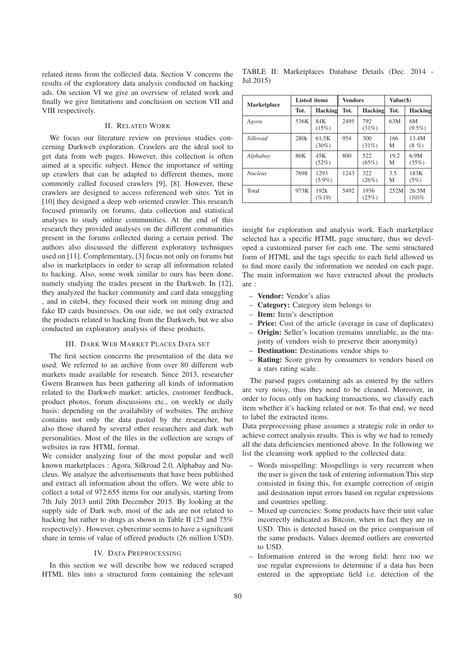related items from the collected data. Section V concerns the results of the exploratory data analysis conducted on hacking ads. On section VI we give an overview of related work and finally we give limitations and conclusion on section VII and VIII respectively.

### II. RELATED WORK

We focus our literature review on previous studies concerning Darkweb exploration. Crawlers are the ideal tool to get data from web pages. However, this collection is often aimed at a specific subject. Hence the importance of setting up crawlers that can be adapted to different themes, more commonly called focused crawlers [9], [8]. However, these crawlers are designed to access referenced web sites. Yet in [10] they designed a deep web oriented crawler. This research focused primarily on forums, data collection and statistical analyses to study online communities. At the end of this research they provided analyses on the different communities present in the forums collected during a certain period. The authors also discussed the different exploratory techniques used on [11]. Complementary, [3] focus not only on forums but also in marketplaces in order to scrap all information related to hacking. Also, some work similar to ours has been done, namely studying the trades present in the Darkweb. In [12], they analyzed the hacker community and card data smuggling , and in citeb4, they focused their work on mining drug and fake ID cards businesses. On our side, we not only extracted the products related to hacking from the Darkweb, but we also conducted an exploratory analysis of these products.

## III. DARK WEB MARKET PLACES DATA SET

The first section concerns the presentation of the data we used. We referred to an archive from over 80 different web markets made available for research. Since 2013, researcher Gwern Branwen has been gathering all kinds of information related to the Darkweb market: articles, customer feedback, product photos, forum discussions etc., on weekly or daily basis: depending on the availability of websites. The archive contains not only the data pasted by the researcher, but also those shared by several other researchers and dark web personalities. Most of the files in the collection are scraps of websites in raw HTML format.

We consider analyzing four of the most popular and well known marketplaces : Agora, Silkroad 2.0, Alphabay and Nucleus. We analyze the advertisements that have been published and extract all information about the offers. We were able to collect a total of 972.655 items for our analysis, starting from 7th July 2013 until 20th December 2015. By looking at the supply side of Dark web, most of the ads are not related to hacking but rather to drugs as shown in Table II (25 and 75%) respectively) . However, cybercrime seems to have a significant share in terms of value of offered products (26 million USD).

# IV. DATA PREPROCESSING

In this section we will describe how we reduced scraped HTML files into a structured form containing the relevant

TABLE II: Marketplaces Database Details (Dec. 2014 - Jul.2015)

| <b>Marketplace</b> | <b>Listed</b> items |                   | <b>Vendors</b> |                 | Value(\$) |                     |
|--------------------|---------------------|-------------------|----------------|-----------------|-----------|---------------------|
|                    | Tot.                | Hacking           | Tot.           | Hacking         | Tot.      | Hacking             |
| Agora              | 536K                | 84K<br>(15%)      | 2495           | 792<br>(31%)    | 63M       | 6M<br>$(9.5\%)$     |
| Silkroad           | 280k                | 61,5K<br>$(30\%)$ | 954            | 300<br>(31%)    | 166<br>М  | 13.4M<br>$(8,  \%)$ |
| Alphabay           | 86K                 | 45K<br>(52%)      | 800            | 522<br>$(65\%)$ | 19.2<br>М | 6.9M<br>(35%)       |
| <b>Nucleus</b>     | 7698                | 1293<br>$(5.9\%)$ | 1243           | 322<br>(26%)    | 3.5<br>М  | 183K<br>(5%)        |
| Total              | 973K                | 192k<br>$( \%19)$ | 5492           | 1936<br>(25%)   | 252M      | 26.5M<br>$(10)\%$   |

insight for exploration and analysis work. Each marketplace selected has a specific HTML page structure, thus we developed a customized parser for each one. The semi structured form of HTML and the tags specific to each field allowed us to find more easily the information we needed on each page. The main information we have extracted about the products are :

- Vendor: Vendor's alias
- Category: Category item belongs to
- Item: Item's description
- Price: Cost of the article (average in case of duplicates)
- Origin: Seller's location (remains unreliable, as the majority of vendors wish to preserve their anonymity)
- Destination: Destinations vendor ships to
- Rating: Score given by consumers to vendors based on a stars rating scale.

The parsed pages containing ads as entered by the sellers are very noisy, thus they need to be cleaned. Moreover, in order to focus only on hacking transactions, we classify each item whether it's hacking related or not. To that end, we need to label the extracted items.

Data preprocessing phase assumes a strategic role in order to achieve correct analysis results. This is why we had to remedy all the data deficiencies mentioned above. In the following we list the cleansing work applied to the collected data:

- Words misspelling: Misspellings is very recurrent when the user is given the task of entering information.This step consisted in fixing this, for example correction of origin and destination input errors based on regular expressions and countries spelling.
- Mixed up currencies: Some products have their unit value incorrectly indicated as Bitcoin, when in fact they are in USD. This is detected based on the price comparison of the same products. Values deemed outliers are converted to USD.
- Information entered in the wrong field: here too we use regular expressions to determine if a data has been entered in the appropriate field i.e. detection of the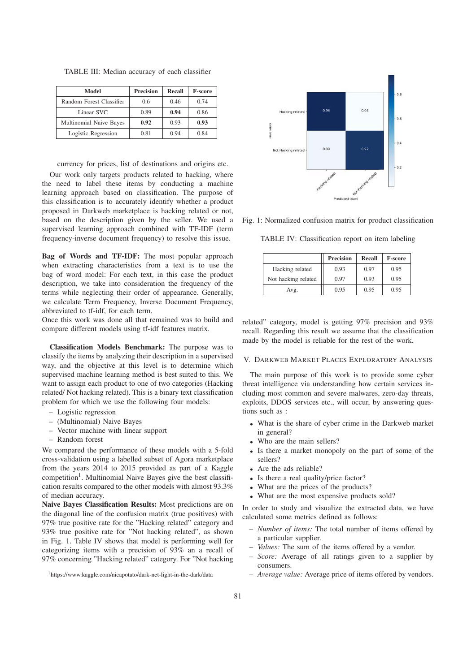| Model                    | <b>Precision</b> | Recall | <b>F-score</b> |
|--------------------------|------------------|--------|----------------|
| Random Forest Classifier | 0.6              | 0.46   | 0.74           |
| Linear SVC               | 0.89             | 0.94   | 0.86           |
| Multinomial Naive Bayes  | 0.92             | 0.93   | 0.93           |
| Logistic Regression      | 0.81             | 0.94   | 0.84           |

TABLE III: Median accuracy of each classifier

currency for prices, list of destinations and origins etc.

Our work only targets products related to hacking, where the need to label these items by conducting a machine learning approach based on classification. The purpose of this classification is to accurately identify whether a product proposed in Darkweb marketplace is hacking related or not, based on the description given by the seller. We used a supervised learning approach combined with TF-IDF (term frequency-inverse document frequency) to resolve this issue.

Bag of Words and TF-IDF: The most popular approach when extracting characteristics from a text is to use the bag of word model: For each text, in this case the product description, we take into consideration the frequency of the terms while neglecting their order of appearance. Generally, we calculate Term Frequency, Inverse Document Frequency, abbreviated to tf-idf, for each term.

Once this work was done all that remained was to build and compare different models using tf-idf features matrix.

Classification Models Benchmark: The purpose was to classify the items by analyzing their description in a supervised way, and the objective at this level is to determine which supervised machine learning method is best suited to this. We want to assign each product to one of two categories (Hacking related/ Not hacking related). This is a binary text classification problem for which we use the following four models:

- Logistic regression
- (Multinomial) Naive Bayes
- Vector machine with linear support
- Random forest

We compared the performance of these models with a 5-fold cross-validation using a labelled subset of Agora marketplace from the years 2014 to 2015 provided as part of a Kaggle  $competition<sup>1</sup>$ . Multinomial Naive Bayes give the best classification results compared to the other models with almost 93.3% of median accuracy.

Naive Bayes Classification Results: Most predictions are on the diagonal line of the confusion matrix (true positives) with 97% true positive rate for the "Hacking related" category and 93% true positive rate for "Not hacking related", as shown in Fig. 1. Table IV shows that model is performing well for categorizing items with a precision of 93% an a recall of 97% concerning "Hacking related" category. For "Not hacking



Fig. 1: Normalized confusion matrix for product classification

TABLE IV: Classification report on item labeling

|                     | <b>Precision</b> | Recall | <b>F-score</b> |
|---------------------|------------------|--------|----------------|
| Hacking related     | 0.93             | 0.97   | 0.95           |
| Not hacking related | 0.97             | 0.93   | 0.95           |
| Avg.                | 0.95             | 0.95   | 0.95           |

related" category, model is getting 97% precision and 93% recall. Regarding this result we assume that the classification made by the model is reliable for the rest of the work.

#### V. DARKWEB MARKET PLACES EXPLORATORY ANALYSIS

The main purpose of this work is to provide some cyber threat intelligence via understanding how certain services including most common and severe malwares, zero-day threats, exploits, DDOS services etc., will occur, by answering questions such as :

- What is the share of cyber crime in the Darkweb market in general?
- Who are the main sellers?
- Is there a market monopoly on the part of some of the sellers?
- Are the ads reliable?
- Is there a real quality/price factor?
- What are the prices of the products?
- What are the most expensive products sold?

In order to study and visualize the extracted data, we have calculated some metrics defined as follows:

- *Number of items:* The total number of items offered by a particular supplier.
- *Values:* The sum of the items offered by a vendor.
- *Score:* Average of all ratings given to a supplier by consumers.
- *Average value:* Average price of items offered by vendors.

<sup>1</sup>https://www.kaggle.com/nicapotato/dark-net-light-in-the-dark/data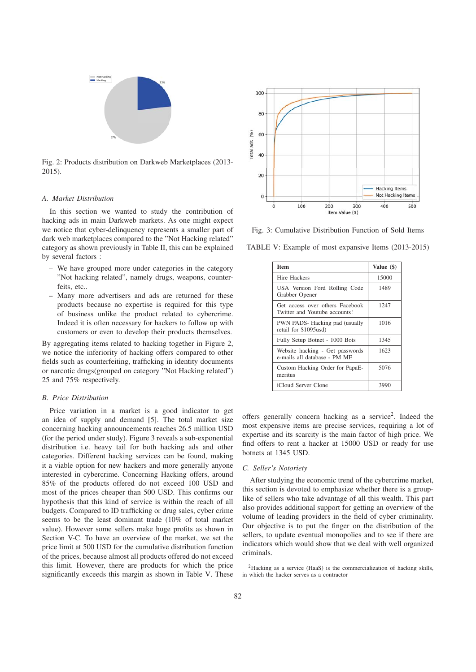

Fig. 2: Products distribution on Darkweb Marketplaces (2013- 2015).

#### *A. Market Distribution*

In this section we wanted to study the contribution of hacking ads in main Darkweb markets. As one might expect we notice that cyber-delinquency represents a smaller part of dark web marketplaces compared to the "Not Hacking related" category as shown previously in Table II, this can be explained by several factors :

- We have grouped more under categories in the category "Not hacking related", namely drugs, weapons, counterfeits, etc.
- Many more advertisers and ads are returned for these products because no expertise is required for this type of business unlike the product related to cybercrime. Indeed it is often necessary for hackers to follow up with customers or even to develop their products themselves.

By aggregating items related to hacking together in Figure 2, we notice the inferiority of hacking offers compared to other fields such as counterfeiting, trafficking in identity documents or narcotic drugs(grouped on category "Not Hacking related") 25 and 75% respectively.

## *B. Price Distribution*

Price variation in a market is a good indicator to get an idea of supply and demand [5]. The total market size concerning hacking announcements reaches 26.5 million USD (for the period under study). Figure 3 reveals a sub-exponential distribution i.e. heavy tail for both hacking ads and other categories. Different hacking services can be found, making it a viable option for new hackers and more generally anyone interested in cybercrime. Concerning Hacking offers, around 85% of the products offered do not exceed 100 USD and most of the prices cheaper than 500 USD. This confirms our hypothesis that this kind of service is within the reach of all budgets. Compared to ID trafficking or drug sales, cyber crime seems to be the least dominant trade (10% of total market value). However some sellers make huge profits as shown in Section V-C. To have an overview of the market, we set the price limit at 500 USD for the cumulative distribution function of the prices, because almost all products offered do not exceed this limit. However, there are products for which the price significantly exceeds this margin as shown in Table V. These



Fig. 3: Cumulative Distribution Function of Sold Items

TABLE V: Example of most expansive Items (2013-2015)

| <b>Item</b>                                                      | Value (\$) |
|------------------------------------------------------------------|------------|
| Hire Hackers                                                     | 15000      |
| USA Version Ford Rolling Code<br>Grabber Opener                  | 1489       |
| Get access over others Facebook<br>Twitter and Youtube accounts! | 1247       |
| PWN PADS-Hacking pad (usually<br>retail for \$1095usd)           | 1016       |
| Fully Setup Botnet - 1000 Bots                                   | 1345       |
| Website hacking - Get passwords<br>e-mails all database - PM ME  | 1623       |
| Custom Hacking Order for PapaE-<br>meritus                       | 5076       |
| iCloud Server Clone                                              | 3990       |

offers generally concern hacking as a service<sup>2</sup>. Indeed the most expensive items are precise services, requiring a lot of expertise and its scarcity is the main factor of high price. We find offers to rent a hacker at 15000 USD or ready for use botnets at 1345 USD.

#### *C. Seller's Notoriety*

After studying the economic trend of the cybercrime market, this section is devoted to emphasize whether there is a grouplike of sellers who take advantage of all this wealth. This part also provides additional support for getting an overview of the volume of leading providers in the field of cyber criminality. Our objective is to put the finger on the distribution of the sellers, to update eventual monopolies and to see if there are indicators which would show that we deal with well organized criminals.

2Hacking as a service (HaaS) is the commercialization of hacking skills, in which the hacker serves as a contractor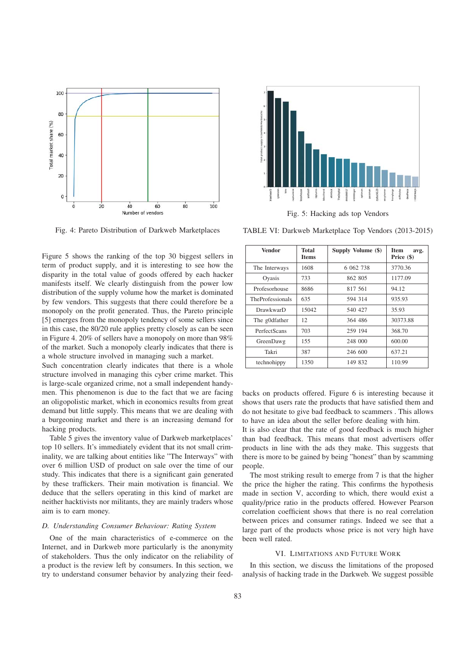

Fig. 4: Pareto Distribution of Darkweb Marketplaces

Figure 5 shows the ranking of the top 30 biggest sellers in term of product supply, and it is interesting to see how the disparity in the total value of goods offered by each hacker manifests itself. We clearly distinguish from the power low distribution of the supply volume how the market is dominated by few vendors. This suggests that there could therefore be a monopoly on the profit generated. Thus, the Pareto principle [5] emerges from the monopoly tendency of some sellers since in this case, the 80/20 rule applies pretty closely as can be seen in Figure 4. 20% of sellers have a monopoly on more than 98% of the market. Such a monopoly clearly indicates that there is a whole structure involved in managing such a market.

Such concentration clearly indicates that there is a whole structure involved in managing this cyber crime market. This is large-scale organized crime, not a small independent handymen. This phenomenon is due to the fact that we are facing an oligopolistic market, which in economics results from great demand but little supply. This means that we are dealing with a burgeoning market and there is an increasing demand for hacking products.

Table 5 gives the inventory value of Darkweb marketplaces' top 10 sellers. It's immediately evident that its not small criminality, we are talking about entities like "The Interways" with over 6 million USD of product on sale over the time of our study. This indicates that there is a significant gain generated by these traffickers. Their main motivation is financial. We deduce that the sellers operating in this kind of market are neither hacktivists nor militants, they are mainly traders whose aim is to earn money.

#### *D. Understanding Consumer Behaviour: Rating System*

One of the main characteristics of e-commerce on the Internet, and in Darkweb more particularly is the anonymity of stakeholders. Thus the only indicator on the reliability of a product is the review left by consumers. In this section, we try to understand consumer behavior by analyzing their feed-



Fig. 5: Hacking ads top Vendors

TABLE VI: Darkweb Marketplace Top Vendors (2013-2015)

| Vendor                  | Total<br><b>Items</b> | Supply Volume (\$) | Item<br>avg.<br>Price (\$) |
|-------------------------|-----------------------|--------------------|----------------------------|
| The Interways           | 1608                  | 6 062 738          | 3770.36                    |
| Oyasis                  | 733                   | 862 805            | 1177.09                    |
| Profesorhouse           | 8686                  | 817 561            | 94.12                      |
| <b>TheProfessionals</b> | 635                   | 594 314            | 935.93                     |
| <b>DrawkwarD</b>        | 15042                 | 540 427            | 35.93                      |
| The g0dfather           | 12                    | 364 486            | 30373.88                   |
| PerfectScans            | 703                   | 259 194            | 368.70                     |
| GreenDawg               | 155                   | 248 000            | 600.00                     |
| Takri                   | 387                   | 246 600            | 637.21                     |
| technohippy             | 1350                  | 149 832            | 110.99                     |

backs on products offered. Figure 6 is interesting because it shows that users rate the products that have satisfied them and do not hesitate to give bad feedback to scammers . This allows to have an idea about the seller before dealing with him.

It is also clear that the rate of good feedback is much higher than bad feedback. This means that most advertisers offer products in line with the ads they make. This suggests that there is more to be gained by being "honest" than by scamming people.

The most striking result to emerge from 7 is that the higher the price the higher the rating. This confirms the hypothesis made in section V, according to which, there would exist a quality/price ratio in the products offered. However Pearson correlation coefficient shows that there is no real correlation between prices and consumer ratings. Indeed we see that a large part of the products whose price is not very high have been well rated.

# VI. LIMITATIONS AND FUTURE WORK

In this section, we discuss the limitations of the proposed analysis of hacking trade in the Darkweb. We suggest possible